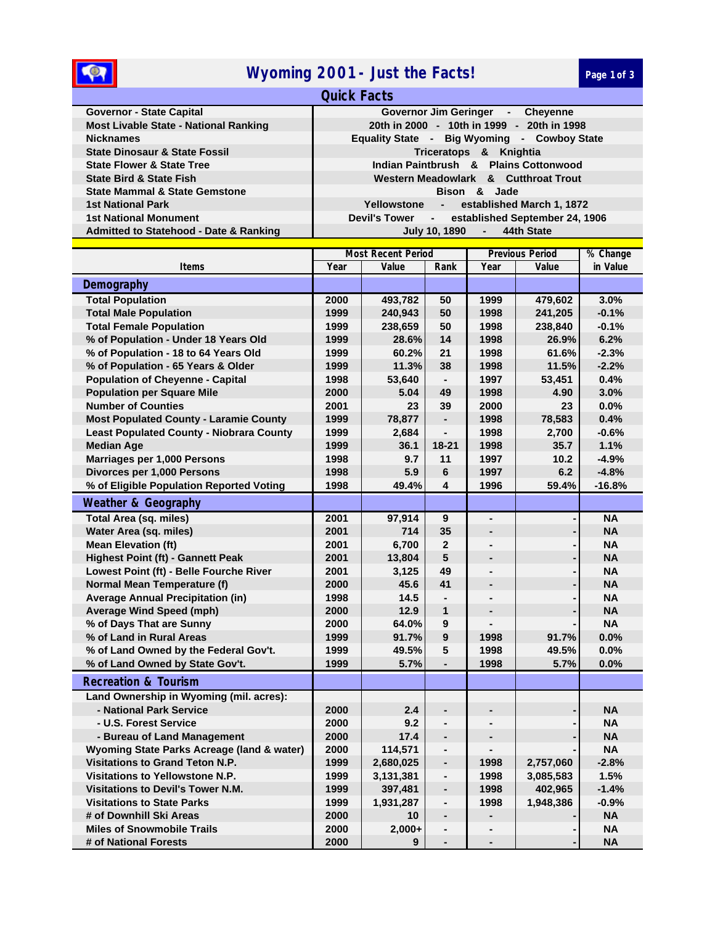## **1888 Myoming 2001 - Just the Facts! Page 1 of 3**

| <b>Quick Facts</b>                                |                                                    |  |  |  |  |
|---------------------------------------------------|----------------------------------------------------|--|--|--|--|
| <b>Governor - State Capital</b>                   | Governor Jim Geringer - Cheyenne                   |  |  |  |  |
| <b>Most Livable State - National Ranking</b>      | 20th in 2000 - 10th in 1999 - 20th in 1998         |  |  |  |  |
| <b>Nicknames</b>                                  | Equality State - Big Wyoming - Cowboy State        |  |  |  |  |
| <b>State Dinosaur &amp; State Fossil</b>          | Triceratops & Knightia                             |  |  |  |  |
| <b>State Flower &amp; State Tree</b>              | Indian Paintbrush & Plains Cottonwood              |  |  |  |  |
| <b>State Bird &amp; State Fish</b>                | Western Meadowlark & Cutthroat Trout               |  |  |  |  |
| <b>State Mammal &amp; State Gemstone</b>          | Bison & Jade                                       |  |  |  |  |
| <b>1st National Park</b>                          | established March 1, 1872<br>Yellowstone<br>$\sim$ |  |  |  |  |
| <b>1st National Monument</b>                      | Devil's Tower - established September 24, 1906     |  |  |  |  |
| <b>Admitted to Statehood - Date &amp; Ranking</b> | July 10, 1890 - 44th State                         |  |  |  |  |
|                                                   |                                                    |  |  |  |  |

|                                                 | <b>Most Recent Period</b> |           |                              | <b>Previous Period</b>   | % Change  |           |
|-------------------------------------------------|---------------------------|-----------|------------------------------|--------------------------|-----------|-----------|
| <b>Items</b>                                    | Year                      | Value     | Rank                         | Year                     | Value     | in Value  |
| Demography                                      |                           |           |                              |                          |           |           |
| <b>Total Population</b>                         | 2000                      | 493,782   | 50                           | 1999                     | 479,602   | 3.0%      |
| <b>Total Male Population</b>                    | 1999                      | 240,943   | 50                           | 1998                     | 241,205   | $-0.1%$   |
| <b>Total Female Population</b>                  | 1999                      | 238,659   | 50                           | 1998                     | 238,840   | $-0.1%$   |
| % of Population - Under 18 Years Old            | 1999                      | 28.6%     | 14                           | 1998                     | 26.9%     | 6.2%      |
| % of Population - 18 to 64 Years Old            | 1999                      | 60.2%     | 21                           | 1998                     | 61.6%     | $-2.3%$   |
| % of Population - 65 Years & Older              | 1999                      | 11.3%     | 38                           | 1998                     | 11.5%     | $-2.2%$   |
| <b>Population of Cheyenne - Capital</b>         | 1998                      | 53,640    | $\blacksquare$               | 1997                     | 53,451    | 0.4%      |
| <b>Population per Square Mile</b>               | 2000                      | 5.04      | 49                           | 1998                     | 4.90      | 3.0%      |
| <b>Number of Counties</b>                       | 2001                      | 23        | 39                           | 2000                     | 23        | 0.0%      |
| <b>Most Populated County - Laramie County</b>   | 1999                      | 78,877    | $\blacksquare$               | 1998                     | 78,583    | 0.4%      |
| <b>Least Populated County - Niobrara County</b> | 1999                      | 2,684     | L.                           | 1998                     | 2,700     | $-0.6%$   |
| <b>Median Age</b>                               | 1999                      | 36.1      | $18 - 21$                    | 1998                     | 35.7      | 1.1%      |
| Marriages per 1,000 Persons                     | 1998                      | 9.7       | 11                           | 1997                     | 10.2      | $-4.9%$   |
| Divorces per 1,000 Persons                      | 1998                      | 5.9       | 6                            | 1997                     | 6.2       | $-4.8%$   |
| % of Eligible Population Reported Voting        | 1998                      | 49.4%     | 4                            | 1996                     | 59.4%     | $-16.8%$  |
| <b>Weather &amp; Geography</b>                  |                           |           |                              |                          |           |           |
| <b>Total Area (sq. miles)</b>                   | 2001                      | 97,914    | 9                            | $\blacksquare$           |           | <b>NA</b> |
| Water Area (sq. miles)                          | 2001                      | 714       | 35                           | ٠                        |           | <b>NA</b> |
| <b>Mean Elevation (ft)</b>                      | 2001                      | 6,700     | $\overline{2}$               |                          |           | <b>NA</b> |
| <b>Highest Point (ft) - Gannett Peak</b>        | 2001                      | 13,804    | 5                            | ÷                        |           | <b>NA</b> |
| Lowest Point (ft) - Belle Fourche River         | 2001                      | 3,125     | 49                           |                          |           | <b>NA</b> |
| <b>Normal Mean Temperature (f)</b>              | 2000                      | 45.6      | 41                           |                          |           | <b>NA</b> |
| <b>Average Annual Precipitation (in)</b>        | 1998                      | 14.5      | $\blacksquare$               | ä,                       |           | <b>NA</b> |
| <b>Average Wind Speed (mph)</b>                 | 2000                      | 12.9      | $\mathbf{1}$                 |                          |           | <b>NA</b> |
| % of Days That are Sunny                        | 2000                      | 64.0%     | 9                            |                          |           | <b>NA</b> |
| % of Land in Rural Areas                        | 1999                      | 91.7%     | $\overline{9}$               | 1998                     | 91.7%     | 0.0%      |
| % of Land Owned by the Federal Gov't.           | 1999                      | 49.5%     | 5                            | 1998                     | 49.5%     | 0.0%      |
| % of Land Owned by State Gov't.                 | 1999                      | 5.7%      |                              | 1998                     | 5.7%      | $0.0\%$   |
| <b>Recreation &amp; Tourism</b>                 |                           |           |                              |                          |           |           |
| Land Ownership in Wyoming (mil. acres):         |                           |           |                              |                          |           |           |
| - National Park Service                         | 2000                      | 2.4       | $\blacksquare$               |                          |           | <b>NA</b> |
| - U.S. Forest Service                           | 2000                      | 9.2       | L.                           |                          |           | NA        |
| - Bureau of Land Management                     | 2000                      | 17.4      | $\blacksquare$               | $\overline{\phantom{0}}$ |           | <b>NA</b> |
| Wyoming State Parks Acreage (land & water)      | 2000                      | 114,571   | $\frac{1}{2}$                |                          |           | <b>NA</b> |
| Visitations to Grand Teton N.P.                 | 1999                      | 2,680,025 | $\blacksquare$               | 1998                     | 2,757,060 | $-2.8%$   |
| Visitations to Yellowstone N.P.                 | 1999                      | 3,131,381 | $\frac{1}{2}$                | 1998                     | 3,085,583 | 1.5%      |
| <b>Visitations to Devil's Tower N.M.</b>        | 1999                      | 397,481   | $\blacksquare$               | 1998                     | 402,965   | $-1.4%$   |
| <b>Visitations to State Parks</b>               | 1999                      | 1,931,287 | $\qquad \qquad \blacksquare$ | 1998                     | 1,948,386 | $-0.9%$   |
| # of Downhill Ski Areas                         | 2000                      | 10        | $\blacksquare$               |                          |           | <b>NA</b> |
| <b>Miles of Snowmobile Trails</b>               | 2000                      | $2,000+$  | $\blacksquare$               | ۰                        |           | ΝA        |
| # of National Forests                           | 2000                      | 9         |                              | $\blacksquare$           |           | <b>NA</b> |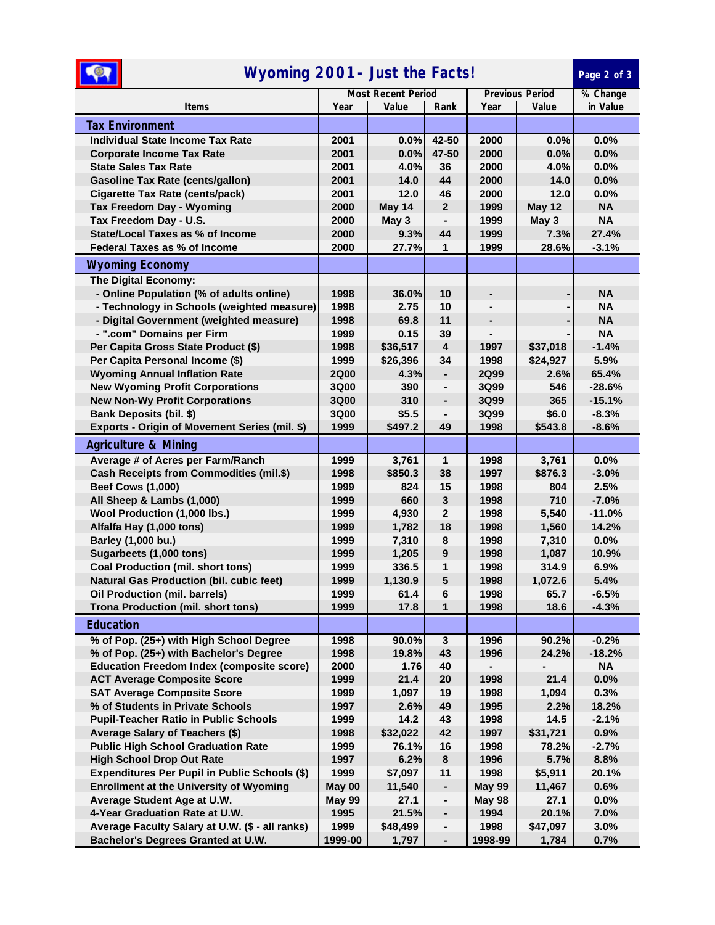| $\circ$<br>Wyoming 2001 - Just the Facts!                     |                           |               |                                                |                        |               | Page 2 of 3  |
|---------------------------------------------------------------|---------------------------|---------------|------------------------------------------------|------------------------|---------------|--------------|
|                                                               | <b>Most Recent Period</b> |               |                                                | <b>Previous Period</b> | % Change      |              |
| <b>Items</b>                                                  | Year                      | Value         | Rank                                           | Year                   | Value         | in Value     |
| <b>Tax Environment</b>                                        |                           |               |                                                |                        |               |              |
| <b>Individual State Income Tax Rate</b>                       | 2001                      | 0.0%          | 42-50                                          | 2000                   | 0.0%          | 0.0%         |
| <b>Corporate Income Tax Rate</b>                              | 2001                      | 0.0%          | 47-50                                          | 2000                   | 0.0%          | 0.0%         |
| <b>State Sales Tax Rate</b>                                   | 2001                      | 4.0%          | 36                                             | 2000                   | 4.0%          | 0.0%         |
| <b>Gasoline Tax Rate (cents/gallon)</b>                       | 2001                      | 14.0          | 44                                             | 2000                   | 14.0          | 0.0%         |
| <b>Cigarette Tax Rate (cents/pack)</b>                        | 2001                      | 12.0          | 46                                             | 2000                   | 12.0          | 0.0%         |
| <b>Tax Freedom Day - Wyoming</b>                              | 2000                      | May 14        | $\overline{2}$                                 | 1999                   | <b>May 12</b> | <b>NA</b>    |
| Tax Freedom Day - U.S.                                        | 2000                      | May 3         |                                                | 1999                   | May 3         | <b>NA</b>    |
| <b>State/Local Taxes as % of Income</b>                       | 2000                      | 9.3%          | 44                                             | 1999                   | 7.3%          | 27.4%        |
| Federal Taxes as % of Income                                  | 2000                      | 27.7%         | 1                                              | 1999                   | 28.6%         | $-3.1%$      |
| <b>Wyoming Economy</b>                                        |                           |               |                                                |                        |               |              |
| The Digital Economy:                                          |                           |               |                                                |                        |               |              |
| - Online Population (% of adults online)                      | 1998                      | 36.0%         | 10                                             |                        |               | <b>NA</b>    |
| - Technology in Schools (weighted measure)                    | 1998                      | 2.75          | 10                                             |                        |               | <b>NA</b>    |
| - Digital Government (weighted measure)                       | 1998                      | 69.8          | 11                                             |                        |               | <b>NA</b>    |
| - ".com" Domains per Firm                                     | 1999                      | 0.15          | 39                                             |                        |               | <b>NA</b>    |
| Per Capita Gross State Product (\$)                           | 1998                      | \$36,517      | $\overline{\mathbf{4}}$                        | 1997                   | \$37,018      | $-1.4%$      |
| Per Capita Personal Income (\$)                               | 1999                      | \$26,396      | 34                                             | 1998                   | \$24,927      | 5.9%         |
| <b>Wyoming Annual Inflation Rate</b>                          | <b>2Q00</b>               | 4.3%          | $\overline{\phantom{0}}$                       | <b>2Q99</b>            | 2.6%          | 65.4%        |
| <b>New Wyoming Profit Corporations</b>                        | <b>3Q00</b>               | 390           |                                                | 3Q99                   | 546           | $-28.6%$     |
| <b>New Non-Wy Profit Corporations</b>                         | <b>3Q00</b>               | 310           | $\blacksquare$                                 | 3Q99                   | 365           | $-15.1%$     |
| <b>Bank Deposits (bil. \$)</b>                                | <b>3Q00</b>               | \$5.5         | $\overline{\phantom{0}}$                       | 3Q99                   | \$6.0         | $-8.3%$      |
| Exports - Origin of Movement Series (mil. \$)                 | 1999                      | \$497.2       | 49                                             | 1998                   | \$543.8       | $-8.6%$      |
| <b>Agriculture &amp; Mining</b>                               |                           |               |                                                |                        |               |              |
| Average # of Acres per Farm/Ranch                             | 1999                      | 3,761         | 1                                              | 1998                   | 3,761         | 0.0%         |
| Cash Receipts from Commodities (mil.\$)                       | 1998                      | \$850.3       | 38                                             | 1997                   | \$876.3       | $-3.0%$      |
| <b>Beef Cows (1,000)</b>                                      | 1999                      | 824           | 15                                             | 1998                   | 804           | 2.5%         |
| All Sheep & Lambs (1,000)                                     | 1999                      | 660           | 3                                              | 1998                   | 710           | $-7.0%$      |
| Wool Production (1,000 lbs.)                                  | 1999                      | 4,930         | $\mathbf{2}$                                   | 1998                   | 5,540         | $-11.0%$     |
| Alfalfa Hay (1,000 tons)                                      | 1999                      | 1,782         | 18                                             | 1998                   | 1,560         | 14.2%        |
| Barley (1,000 bu.)                                            | 1999                      | 7,310         | 8                                              | 1998                   | 7,310         | 0.0%         |
| Sugarbeets (1,000 tons)                                       | 1999                      | 1,205         | $\boldsymbol{9}$                               | 1998                   | 1,087         | 10.9%        |
| <b>Coal Production (mil. short tons)</b>                      | 1999                      | 336.5         | 1                                              | 1998                   | 314.9         | 6.9%         |
| <b>Natural Gas Production (bil. cubic feet)</b>               | 1999                      | 1,130.9       | 5                                              | 1998                   | 1,072.6       | 5.4%         |
| Oil Production (mil. barrels)                                 | 1999                      | 61.4          | 6                                              | 1998                   | 65.7          | $-6.5%$      |
| <b>Trona Production (mil. short tons)</b>                     | 1999                      | 17.8          | 1                                              | 1998                   | 18.6          | $-4.3%$      |
| <b>Education</b>                                              |                           |               |                                                |                        |               |              |
| % of Pop. (25+) with High School Degree                       | 1998                      | 90.0%         | $\mathbf{3}$                                   | 1996                   | 90.2%         | $-0.2%$      |
| % of Pop. (25+) with Bachelor's Degree                        | 1998                      | 19.8%         | 43                                             | 1996                   | 24.2%         | $-18.2%$     |
| <b>Education Freedom Index (composite score)</b>              | 2000                      | 1.76          | 40                                             |                        |               | NA           |
| <b>ACT Average Composite Score</b>                            | 1999                      | 21.4          | 20                                             | 1998                   | 21.4          | 0.0%         |
| <b>SAT Average Composite Score</b>                            | 1999                      | 1,097         | 19                                             | 1998                   | 1,094         | 0.3%         |
| % of Students in Private Schools                              | 1997                      | 2.6%          | 49                                             | 1995                   | 2.2%          | 18.2%        |
| <b>Pupil-Teacher Ratio in Public Schools</b>                  | 1999                      | 14.2          | 43                                             | 1998                   | 14.5          | $-2.1%$      |
| Average Salary of Teachers (\$)                               | 1998                      | \$32,022      | 42                                             | 1997                   | \$31,721      | 0.9%         |
| <b>Public High School Graduation Rate</b>                     | 1999                      | 76.1%         | 16                                             | 1998                   | 78.2%         | $-2.7%$      |
| <b>High School Drop Out Rate</b>                              | 1997                      | 6.2%          | 8                                              | 1996                   | 5.7%          | 8.8%         |
| Expenditures Per Pupil in Public Schools (\$)                 | 1999                      | \$7,097       | 11                                             | 1998                   | \$5,911       | 20.1%        |
| <b>Enrollment at the University of Wyoming</b>                | May 00                    | 11,540        | $\qquad \qquad \blacksquare$<br>$\blacksquare$ | <b>May 99</b>          | 11,467        | 0.6%         |
| Average Student Age at U.W.<br>4-Year Graduation Rate at U.W. | <b>May 99</b><br>1995     | 27.1<br>21.5% | $\overline{\phantom{0}}$                       | <b>May 98</b><br>1994  | 27.1<br>20.1% | 0.0%<br>7.0% |
| Average Faculty Salary at U.W. (\$ - all ranks)               | 1999                      | \$48,499      | ۰                                              | 1998                   | \$47,097      | 3.0%         |
| Bachelor's Degrees Granted at U.W.                            | 1999-00                   | 1,797         | $\blacksquare$                                 | 1998-99                | 1,784         | 0.7%         |